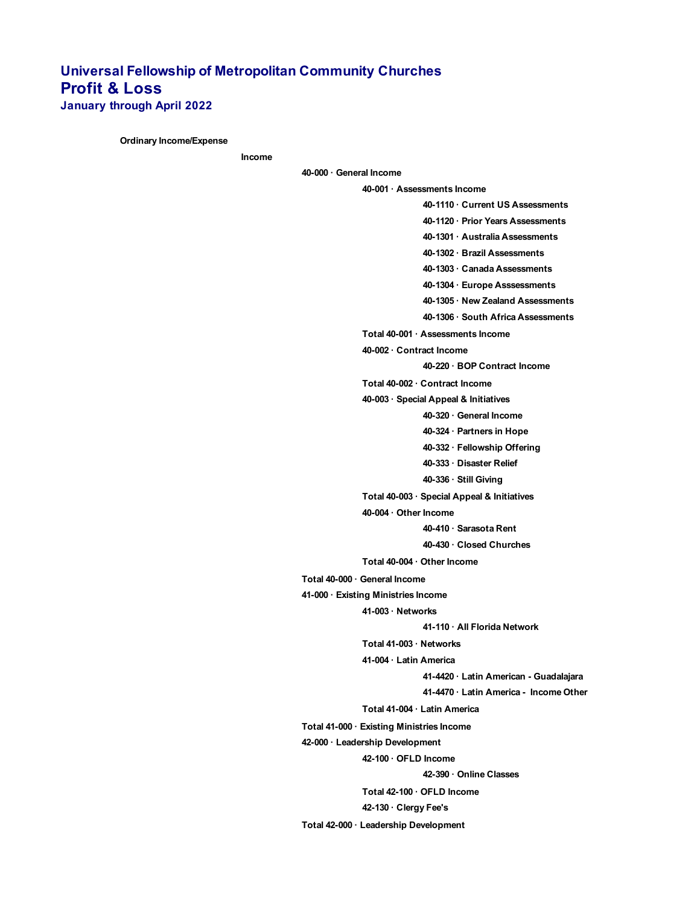## **Universal Fellowship of Metropolitan Community Churches Profit & Loss January through April 2022**

**Ordinary Income/Expense**

**Income**

**40-000 · General Income**

**40-001 · Assessments Income 40-1110 · Current US Assessments 40-1120 · Prior Years Assessments 40-1301 · Australia Assessments 40-1302 · Brazil Assessments 40-1303 · Canada Assessments 40-1304 · Europe Asssessments 40-1305 · New Zealand Assessments 40-1306 · South Africa Assessments Total 40-001 · Assessments Income 40-002 · Contract Income 40-220 · BOP Contract Income Total 40-002 · Contract Income 40-003 · Special Appeal & Initiatives 40-320 · General Income 40-324 · Partners in Hope 40-332 · Fellowship Offering 40-333 · Disaster Relief 40-336 · Still Giving Total 40-003 · Special Appeal & Initiatives 40-004 · Other Income 40-410 · Sarasota Rent 40-430 · Closed Churches Total 40-004 · Other Income Total 40-000 · General Income 41-000 · Existing Ministries Income 41-003 · Networks 41-110 · All Florida Network Total 41-003 · Networks 41-004 · Latin America 41-4420 · Latin American - Guadalajara 41-4470 · Latin America - Income Other Total 41-004 · Latin America Total 41-000 · Existing Ministries Income 42-000 · Leadership Development 42-100 · OFLD Income 42-390 · Online Classes Total 42-100 · OFLD Income 42-130 · Clergy Fee's**

**Total 42-000 · Leadership Development**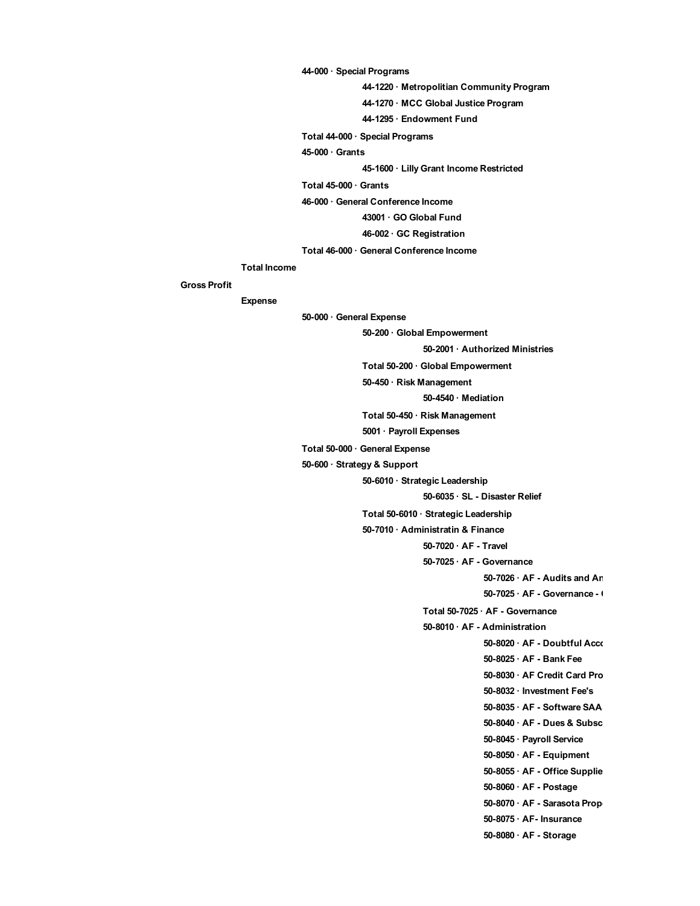**44-000 · Special Programs**

**44-1220 · Metropolitian Community Program**

**44-1270 · MCC Global Justice Program**

**44-1295 · Endowment Fund**

**Total 44-000 · Special Programs**

**45-000 · Grants**

**45-1600 · Lilly Grant Income Restricted**

**Total 45-000 · Grants**

**46-000 · General Conference Income**

**43001 · GO Global Fund**

**46-002 · GC Registration**

**Total 46-000 · General Conference Income**

## **Total Income**

## **Gross Profit**

**Expense**

**50-000 · General Expense**

**50-200 · Global Empowerment**

**50-2001 · Authorized Ministries**

**Total 50-200 · Global Empowerment**

**50-450 · Risk Management**

**50-4540 · Mediation**

**Total 50-450 · Risk Management**

**5001 · Payroll Expenses**

**Total 50-000 · General Expense**

**50-600 · Strategy & Support**

**50-6010 · Strategic Leadership**

**50-6035 · SL - Disaster Relief**

**Total 50-6010 · Strategic Leadership**

**50-7010 · Administratin & Finance**

**50-7020 · AF - Travel**

**50-7025 · AF - Governance**

**50-7026 · AF - Audits and Arabid** 

**50-7025 · AF - Governance - 0** 

**Total 50-7025 · AF - Governance**

**50-8010 · AF - Administration**

**50-8020 · AF - Doubtful Accounts 50-8025 · AF - Bank Fee** 50-8030 · AF Credit Card Pro

**50-8032 · Investment Fee's**

**50-8035 · AF - Software SAA** 

**50-8040 · AF - Dues & Subsc** 

**50-8045 · Payroll Service**

**50-8050 · AF - Equipment**

**50-8055 · AF - Office Supplies**

**50-8060 · AF - Postage**

50-8070 · AF - Sarasota Prop

**50-8075 · AF- Insurance**

**50-8080 · AF - Storage**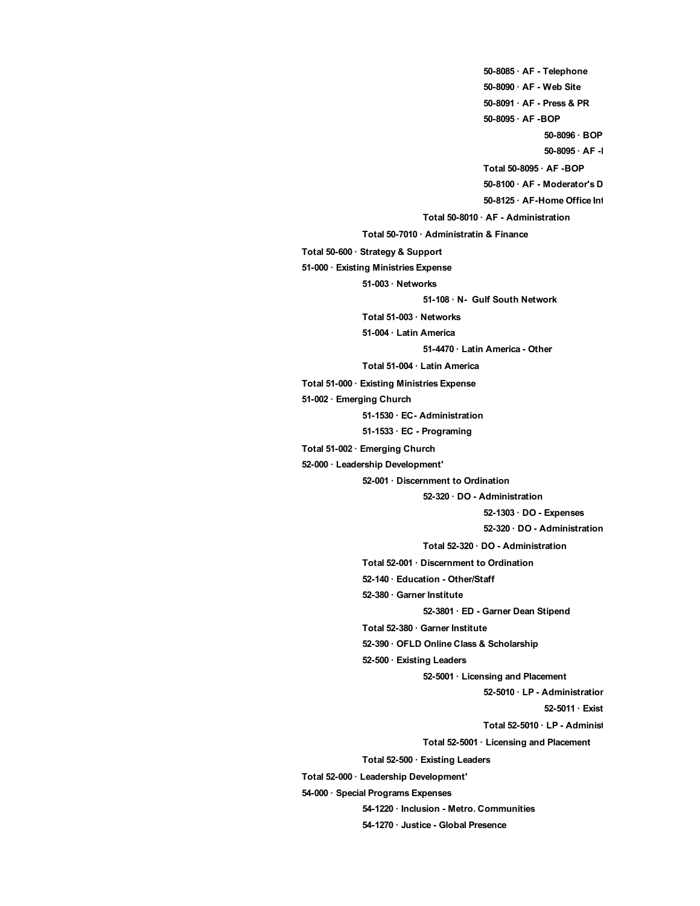**50-8085 · AF - Telephone 50-8090 · AF - Web Site 50-8091 · AF - Press & PR 50-8095 · AF -BOP 50-8096 · BOP - Administration** 50-8095 · AF -I **Total 50-8095 · AF -BOP 50-8100 · AF - Moderator's Discressionary 50-8125 · AF-Home Office Internet Total 50-8010 · AF - Administration Total 50-7010 · Administratin & Finance Total 50-600 · Strategy & Support 51-000 · Existing Ministries Expense 51-003 · Networks 51-108 · N- Gulf South Network Total 51-003 · Networks 51-004 · Latin America 51-4470 · Latin America - Other Total 51-004 · Latin America Total 51-000 · Existing Ministries Expense 51-002 · Emerging Church 51-1530 · EC- Administration 51-1533 · EC - Programing Total 51-002 · Emerging Church 52-000 · Leadership Development' 52-001 · Discernment to Ordination 52-320 · DO - Administration 52-1303 · DO - Expenses 52-320 · DO - Administration Total 52-320 · DO - Administration Total 52-001 · Discernment to Ordination 52-140 · Education - Other/Staff 52-380 · Garner Institute 52-3801 · ED - Garner Dean Stipend Total 52-380 · Garner Institute 52-390 · OFLD Online Class & Scholarship 52-500 · Existing Leaders 52-5001 · Licensing and Placement 52-5010 · LP - Administration 52-5011 · Exist Total 52-5010 · LP - Administ Total 52-5001 · Licensing and Placement Total 52-500 · Existing Leaders Total 52-000 · Leadership Development' 54-000 · Special Programs Expenses 54-1220 · Inclusion - Metro. Communities 54-1270 · Justice - Global Presence**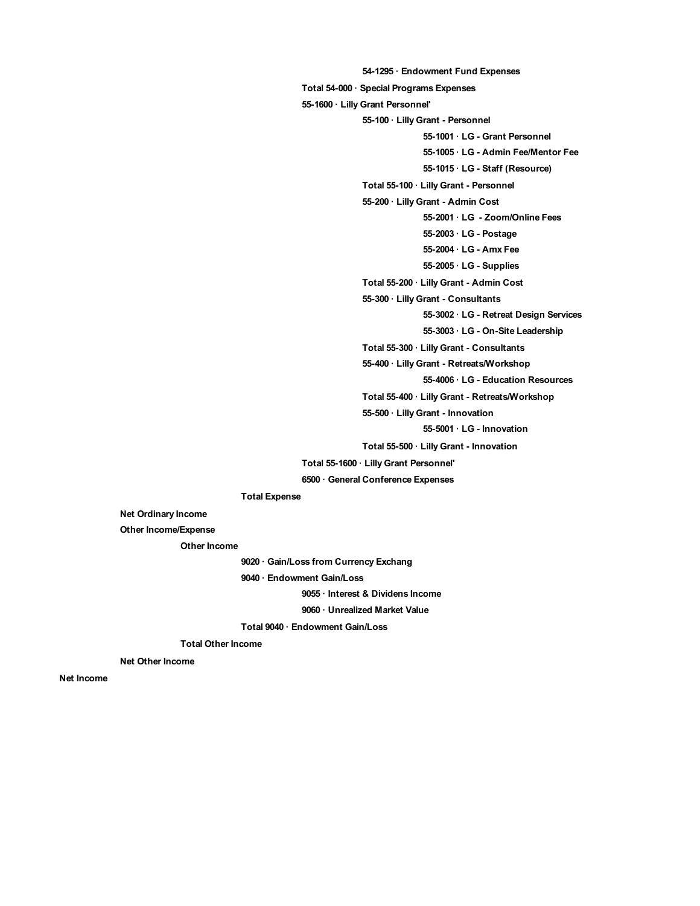**54-1295 · Endowment Fund Expenses Total 54-000 · Special Programs Expenses 55-1600 · Lilly Grant Personnel' 55-100 · Lilly Grant - Personnel 55-1001 · LG - Grant Personnel 55-1005 · LG - Admin Fee/Mentor Fee 55-1015 · LG - Staff (Resource) Total 55-100 · Lilly Grant - Personnel 55-200 · Lilly Grant - Admin Cost 55-2001 · LG - Zoom/Online Fees 55-2003 · LG - Postage 55-2004 · LG - Amx Fee 55-2005 · LG - Supplies Total 55-200 · Lilly Grant - Admin Cost 55-300 · Lilly Grant - Consultants 55-3002 · LG - Retreat Design Services 55-3003 · LG - On-Site Leadership Total 55-300 · Lilly Grant - Consultants 55-400 · Lilly Grant - Retreats/Workshop 55-4006 · LG - Education Resources Total 55-400 · Lilly Grant - Retreats/Workshop 55-500 · Lilly Grant - Innovation 55-5001 · LG - Innovation Total 55-500 · Lilly Grant - Innovation Total 55-1600 · Lilly Grant Personnel' 6500 · General Conference Expenses**

**Total Expense**

**Net Ordinary Income**

**Other Income/Expense**

**Other Income**

**9020 · Gain/Loss from Currency Exchang**

**9040 · Endowment Gain/Loss**

**9055 · Interest & Dividens Income**

**9060 · Unrealized Market Value**

**Total 9040 · Endowment Gain/Loss**

**Total Other Income**

**Net Other Income**

**Net Income**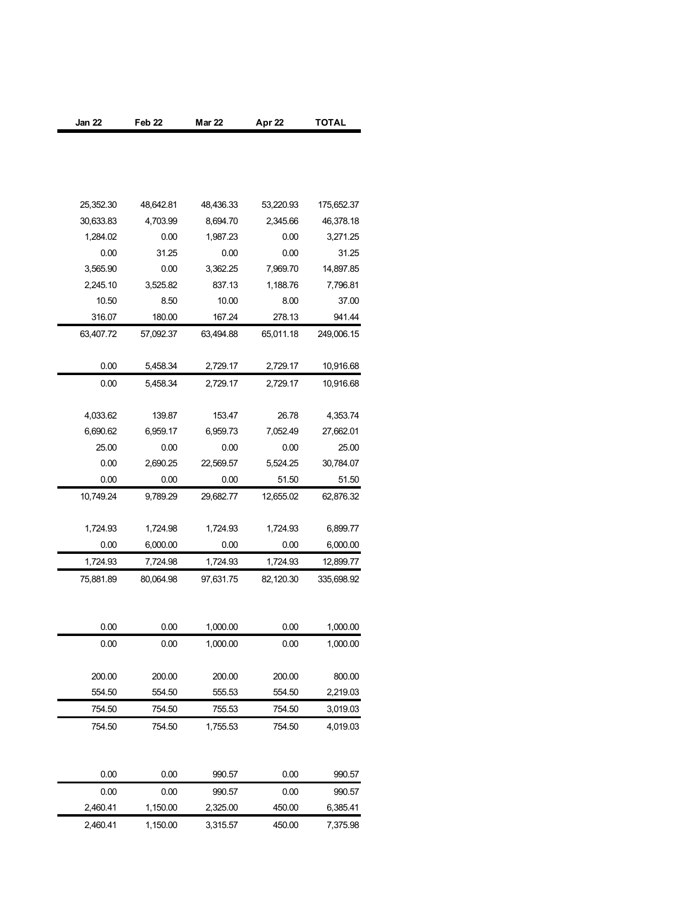| Jan 22    | Feb <sub>22</sub> | <b>Mar 22</b> | Apr 22    | TOTAL      |
|-----------|-------------------|---------------|-----------|------------|
|           |                   |               |           |            |
|           |                   |               |           |            |
|           |                   |               |           |            |
|           |                   |               |           |            |
| 25,352.30 | 48,642.81         | 48,436.33     | 53,220.93 | 175,652.37 |
| 30,633.83 | 4,703.99          | 8,694.70      | 2,345.66  | 46,378.18  |
| 1,284.02  | 0.00              | 1,987.23      | 0.00      | 3,271.25   |
| 0.00      | 31.25             | 0.00          | 0.00      | 31.25      |
| 3,565.90  | 0.00              | 3,362.25      | 7,969.70  | 14,897.85  |
| 2,245.10  | 3,525.82          | 837.13        | 1,188.76  | 7,796.81   |
| 10.50     | 8.50              | 10.00         | 8.00      | 37.00      |
| 316.07    | 180.00            | 167.24        | 278.13    | 941.44     |
| 63,407.72 | 57,092.37         | 63,494.88     | 65,011.18 | 249,006.15 |
| 0.00      | 5,458.34          | 2,729.17      | 2,729.17  | 10,916.68  |
| 0.00      | 5,458.34          | 2,729.17      | 2,729.17  | 10,916.68  |
|           |                   |               |           |            |
| 4,033.62  | 139.87            | 153.47        | 26.78     | 4,353.74   |
| 6,690.62  | 6,959.17          | 6,959.73      | 7,052.49  | 27,662.01  |
| 25.00     | 0.00              | 0.00          | 0.00      | 25.00      |
| 0.00      | 2,690.25          | 22,569.57     | 5,524.25  | 30,784.07  |
| 0.00      | 0.00              | 0.00          | 51.50     | 51.50      |
| 10,749.24 | 9,789.29          | 29,682.77     | 12,655.02 | 62,876.32  |
|           |                   |               |           |            |
| 1,724.93  | 1,724.98          | 1,724.93      | 1,724.93  | 6,899.77   |
| 0.00      | 6,000.00          | 0.00          | 0.00      | 6,000.00   |
| 1,724.93  | 7,724.98          | 1,724.93      | 1,724.93  | 12,899.77  |
| 75,881.89 | 80,064.98         | 97,631.75     | 82,120.30 | 335,698.92 |
|           |                   |               |           |            |
|           |                   |               |           |            |
| 0.00      | 0.00              | 1,000.00      | 0.00      | 1,000.00   |
| 0.00      | 0.00              | 1,000.00      | 0.00      | 1,000.00   |
|           |                   |               |           |            |
| 200.00    | 200.00            | 200.00        | 200.00    | 800.00     |
| 554.50    | 554.50            | 555.53        | 554.50    | 2,219.03   |
| 754.50    | 754.50            | 755.53        | 754.50    | 3,019.03   |
| 754.50    | 754.50            | 1,755.53      | 754.50    | 4,019.03   |
|           |                   |               |           |            |
|           |                   |               |           | 990.57     |
| 0.00      | 0.00              | 990.57        | 0.00      |            |
| 0.00      | 0.00              | 990.57        | 0.00      | 990.57     |
| 2,460.41  | 1,150.00          | 2,325.00      | 450.00    | 6,385.41   |
| 2,460.41  | 1,150.00          | 3,315.57      | 450.00    | 7,375.98   |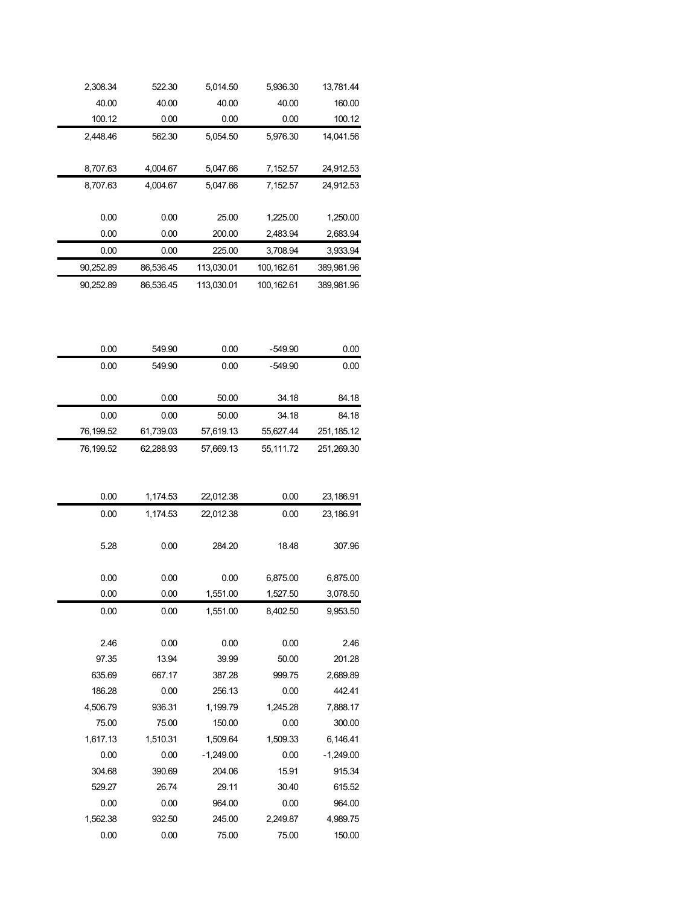| 2,308.34  | 522.30    | 5,014.50   | 5,936.30   | 13,781.44  |
|-----------|-----------|------------|------------|------------|
| 40.00     | 40.00     | 40.00      | 40.00      | 160.00     |
| 100.12    | 0.00      | 0.00       | 0.00       | 100.12     |
| 2,448.46  | 562.30    | 5,054.50   | 5,976.30   | 14,041.56  |
|           |           |            |            |            |
| 8.707.63  | 4.004.67  | 5.047.66   | 7,152.57   | 24,912.53  |
| 8,707.63  | 4,004.67  | 5.047.66   | 7,152.57   | 24,912.53  |
|           |           |            |            |            |
| 0.00      | 0.00      | 25.00      | 1.225.00   | 1.250.00   |
| 0.00      | 0.00      | 200.00     | 2,483.94   | 2,683.94   |
| 0.00      | 0.00      | 225.00     | 3.708.94   | 3.933.94   |
| 90,252.89 | 86,536.45 | 113,030.01 | 100,162.61 | 389,981.96 |
| 90,252.89 | 86.536.45 | 113.030.01 | 100.162.61 | 389,981.96 |
|           |           |            |            |            |

| 0.00      | 549.90    | 0.00      | -549.90   | 0.00       |
|-----------|-----------|-----------|-----------|------------|
| 0.00      | 549.90    | 0.00      | -549.90   | 0.00       |
|           |           |           |           |            |
| 0.00      | 0.00      | 50.00     | 34.18     | 84.18      |
| 0.00      | 0.00      | 50.00     | 34.18     | 84.18      |
| 76.199.52 | 61.739.03 | 57.619.13 | 55.627.44 | 251,185.12 |
| 76.199.52 | 62.288.93 | 57.669.13 | 55,111.72 | 251.269.30 |

| 0.00     | 1,174.53 | 22,012.38   | 0.00     | 23,186.91   |
|----------|----------|-------------|----------|-------------|
| 0.00     | 1,174.53 | 22,012.38   | 0.00     | 23,186.91   |
| 5.28     | 0.00     | 284.20      | 18.48    | 307.96      |
| 0.00     | 0.00     | 0.00        | 6,875.00 | 6,875.00    |
| 0.00     | 0.00     | 1,551.00    | 1,527.50 | 3,078.50    |
| 0.00     | 0.00     | 1,551.00    | 8,402.50 | 9,953.50    |
|          |          |             |          |             |
| 2.46     | 0.00     | 0.00        | 0.00     | 2.46        |
| 97.35    | 13.94    | 39.99       | 50.00    | 201.28      |
| 635.69   | 667.17   | 387.28      | 999.75   | 2,689.89    |
| 186.28   | 0.00     | 256.13      | 0.00     | 442.41      |
| 4,506.79 | 936.31   | 1,199.79    | 1,245.28 | 7,888.17    |
| 75.00    | 75.00    | 150.00      | 0.00     | 300.00      |
| 1,617.13 | 1,510.31 | 1,509.64    | 1,509.33 | 6,146.41    |
| 0.00     | 0.00     | $-1,249.00$ | 0.00     | $-1,249.00$ |
| 304.68   | 390.69   | 204.06      | 15.91    | 915.34      |
| 529.27   | 26.74    | 29.11       | 30.40    | 615.52      |
| 0.00     | 0.00     | 964.00      | 0.00     | 964.00      |
| 1,562.38 | 932.50   | 245.00      | 2,249.87 | 4,989.75    |
| 0.00     | 0.00     | 75.00       | 75.00    | 150.00      |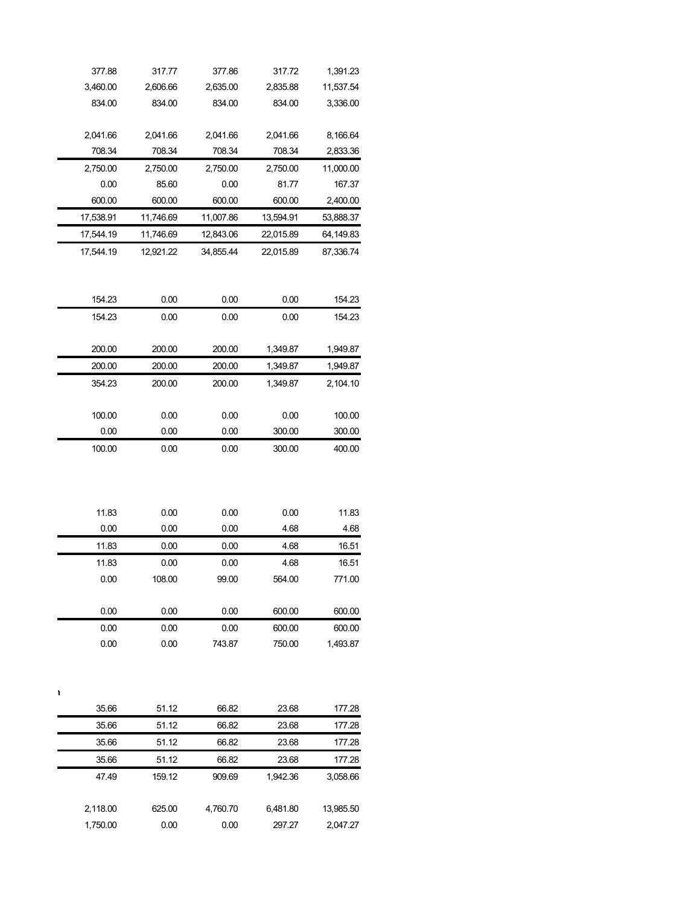| 377.88     | 317.77    | 377.86    | 317.72    | 1,391.23  |
|------------|-----------|-----------|-----------|-----------|
| 3,460.00   | 2,606.66  | 2,635.00  | 2,835.88  | 11,537.54 |
| 834.00     | 834.00    | 834.00    | 834.00    | 3,336.00  |
|            |           |           |           |           |
| 2,041.66   | 2,041.66  | 2,041.66  | 2,041.66  | 8,166.64  |
| 708.34     | 708.34    | 708.34    | 708.34    | 2,833.36  |
| 2,750.00   | 2,750.00  | 2,750.00  | 2,750.00  | 11,000.00 |
| 0.00       | 85.60     | 0.00      | 81.77     | 167.37    |
| 600.00     | 600.00    | 600.00    | 600.00    | 2,400.00  |
| 17,538.91  | 11,746.69 | 11,007.86 | 13,594.91 | 53,888.37 |
| 17,544.19  | 11,746.69 | 12,843.06 | 22,015.89 | 64,149.83 |
| 17,544.19  | 12,921.22 | 34,855.44 | 22,015.89 | 87,336.74 |
| 154.23     | 0.00      | 0.00      | 0.00      | 154.23    |
| 154.23     | 0.00      | 0.00      | 0.00      | 154.23    |
|            |           |           |           |           |
| 200.00     | 200.00    | 200.00    | 1,349.87  | 1,949.87  |
| 200.00     | 200.00    | 200.00    | 1,349.87  | 1,949.87  |
| 354.23     | 200.00    | 200.00    | 1,349.87  | 2,104.10  |
| 100.00     | 0.00      | 0.00      | 0.00      | 100.00    |
| 0.00       | 0.00      | 0.00      | 300.00    | 300.00    |
|            |           |           |           |           |
| 11.83      | 0.00      | 0.00      | 0.00      | 11.83     |
| 0.00       | 0.00      | 0.00      | 4.68      | 4.68      |
| 11.83      | 0.00      | 0.00      | 4.68      | 16.51     |
| 11.83      | 0.00      | 0.00      | 4.68      | 16.51     |
| $0.00\,$   | 108.00    | 99.00     | 564.00    | 771.00    |
| 0.00       | 0.00      | 0.00      | 600.00    | 600.00    |
| 0.00       | 0.00      | 0.00      | 600.00    | 600.00    |
| 0.00       | 0.00      | 743.87    | 750.00    | 1,493.87  |
| r<br>35.66 | 51.12     | 66.82     | 23.68     | 177.28    |
| 35.66      | 51.12     | 66.82     | 23.68     | 177.28    |
| 35.66      | 51.12     | 66.82     | 23.68     | 177.28    |
| 35.66      | 51.12     | 66.82     | 23.68     | 177.28    |
| 47.49      |           | 909.69    |           |           |
|            | 159.12    |           | 1,942.36  | 3,058.66  |
| 2,118.00   | 625.00    | 4,760.70  | 6,481.80  | 13,985.50 |
| 1,750.00   | 0.00      | 0.00      | 297.27    | 2,047.27  |